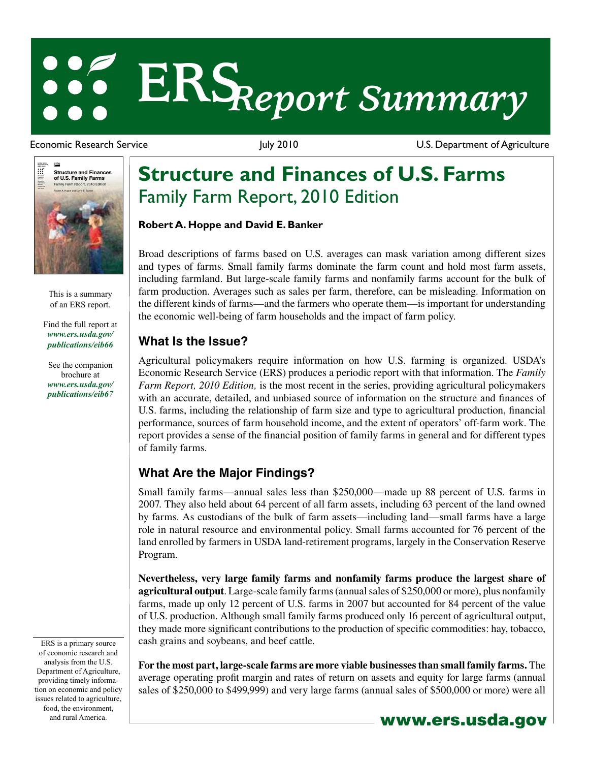# **ERS***Report Summary*

 $\frac{150\lambda}{2}$ **Agriculture** ። **Structure and Finances of U.S. Family Farms** Economic Information Bulletin Number 66 Family Farm Report, 2010 Edition Robert A. Hoppe and David E. Banker

> This is a summary of an ERS report.

[Find the full report at](/publications/eib66/)  *www.ers.usda.gov/ publications/eib66*

[See the companion](/publications/eib67/)  brochure at *www.ers.usda.gov/ publications/eib67*

ERS is a primary source of economic research and analysis from the U.S. Department of Agriculture, providing timely information on economic and policy issues related to agriculture, food, the environment,

Economic Research Service **Figure 2010** July 2010 **U.S. Department of Agriculture** 

## **Structure and Finances of U.S. Farms** Family Farm Report, 2010 Edition

#### **Robert A. Hoppe and David E. Banker**

Broad descriptions of farms based on U.S. averages can mask variation among different sizes and types of farms. Small family farms dominate the farm count and hold most farm assets, including farmland. But large-scale family farms and nonfamily farms account for the bulk of farm production. Averages such as sales per farm, therefore, can be misleading. Information on the different kinds of farms—and the farmers who operate them—is important for understanding the economic well-being of farm households and the impact of farm policy.

### **What Is the Issue?**

Agricultural policymakers require information on how U.S. farming is organized. USDA's Economic Research Service (ERS) produces a periodic report with that information. The *Family Farm Report, 2010 Edition,* is the most recent in the series, providing agricultural policymakers with an accurate, detailed, and unbiased source of information on the structure and finances of U.S. farms, including the relationship of farm size and type to agricultural production, financial performance, sources of farm household income, and the extent of operators' off-farm work. The report provides a sense of the financial position of family farms in general and for different types of family farms.

### **What Are the Major Findings?**

Small family farms—annual sales less than \$250,000—made up 88 percent of U.S. farms in 2007. They also held about 64 percent of all farm assets, including 63 percent of the land owned by farms. As custodians of the bulk of farm assets—including land—small farms have a large role in natural resource and environmental policy. Small farms accounted for 76 percent of the land enrolled by farmers in USDA land-retirement programs, largely in the Conservation Reserve Program.

**Nevertheless, very large family farms and nonfamily farms produce the largest share of agricultural output**. Large-scale family farms (annual sales of \$250,000 or more), plus nonfamily farms, made up only 12 percent of U.S. farms in 2007 but accounted for 84 percent of the value of U.S. production. Although small family farms produced only 16 percent of agricultural output, they made more significant contributions to the production of specific commodities: hay, tobacco, cash grains and soybeans, and beef cattle.

**For the most part, large-scale farms are more viable businesses than small family farms.** The average operating profit margin and rates of return on assets and equity for large farms (annual sales of \$250,000 to \$499,999) and very large farms (annual sales of \$500,000 or more) were all